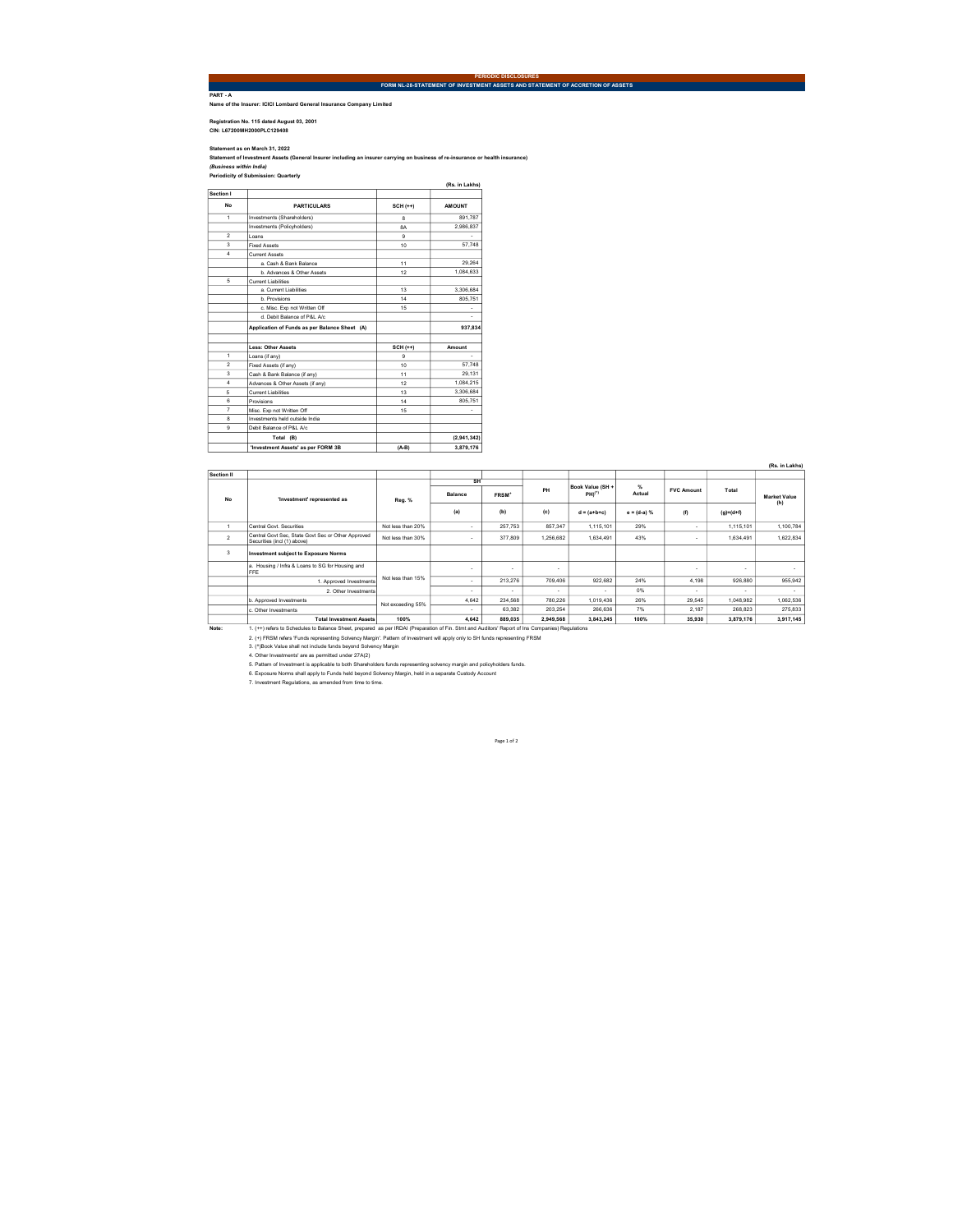PART - A Name of the Insurer: ICICI Lombard General Insurance Company Limited

Registration No. 115 dated August 03, 2001 CIN: L67200MH2000PLC129408

Statement as on March 31, 2022<br>(Business within India) . 2022<br>(Business within India)<br>Periodicity of Submission: Quarterly

|                         |                                               |                  | (Rs. in Lakhs) |
|-------------------------|-----------------------------------------------|------------------|----------------|
| Section I               |                                               |                  |                |
| No                      | <b>PARTICULARS</b>                            | $SCH (++)$       | <b>AMOUNT</b>  |
| $\ddot{\phantom{1}}$    | Investments (Shareholders)                    | $\mathbf{a}$     | 891.787        |
|                         | Investments (Policyholders)                   | <b>RA</b>        | 2.986.837      |
| $\overline{2}$          | Loans                                         | я                |                |
| $\overline{\mathbf{3}}$ | <b>Fixed Assets</b>                           | 10 <sub>10</sub> | 57.748         |
| 4                       | Current Assets                                |                  |                |
|                         | a Cash & Bank Balance                         | 11               | 29.264         |
|                         | b Advances & Other Assets                     | 12               | 1.084.633      |
| 5                       | <b>Current Liabilities</b>                    |                  |                |
|                         | a Current Liabilities                         | 13               | 3.306.684      |
|                         | h Provisions                                  | 14               | 805.751        |
|                         | c. Misc. Exp not Written Off                  | 15               |                |
|                         | d. Debit Balance of P&L A/c                   |                  |                |
|                         | Application of Funds as per Balance Sheet (A) |                  | 937.834        |
|                         |                                               |                  |                |
|                         | Less: Other Assets                            | $SCH (++)$       | Amount         |
| 1                       | Loans (if any)                                | я                | ٠              |
| $\overline{2}$          | Fixed Assets (if any)                         | 10 <sub>10</sub> | 57.748         |
| $\overline{3}$          | Cash & Bank Balance (if any)                  | 11               | 29.131         |
| 4                       | Advances & Other Assets (if any)              | 12               | 1.084.215      |
| 5                       | Current Liabilities                           | 13               | 3.306.684      |
| 6                       | Provisions                                    | 14               | 805.751        |
| 7                       | Misc. Exp not Written Off                     | 15               |                |
| $\mathbf{a}$            | Investments held outside India                |                  |                |
| $\mathbf{Q}$            | Debit Balance of P&L A/c                      |                  |                |
|                         | Total (B)                                     |                  | (2, 941, 342)  |
|                         | 'Investment Assets' as per FORM 3B            | $(A-B)$          | 3.879.176      |

|                      |                                                                                                                                                  |                   |                |                   |           |                    |                |                          |                 | (Rs. in Lakhs)      |
|----------------------|--------------------------------------------------------------------------------------------------------------------------------------------------|-------------------|----------------|-------------------|-----------|--------------------|----------------|--------------------------|-----------------|---------------------|
| Section II           |                                                                                                                                                  |                   |                |                   |           |                    |                |                          |                 |                     |
| <b>No</b>            | 'Investment' represented as                                                                                                                      | Reg. %            | SH             |                   |           | Book Value (SH +   | $\frac{d}{dx}$ |                          |                 |                     |
|                      |                                                                                                                                                  |                   | <b>Balance</b> | FRSM <sup>*</sup> | PH        | PH) <sup>(*)</sup> | Actual         | <b>FVC Amount</b>        | Total           | <b>Market Value</b> |
|                      |                                                                                                                                                  |                   | (a)            | (b)               | (c)       | $d = (a+b+c)$      | $e = (d-a) %$  | (f)                      | $(q) = (d + f)$ | (h)                 |
| $\ddot{\phantom{1}}$ | Central Govt Securities                                                                                                                          | Not less than 20% |                | 257.753           | 857.347   | 1.115.101          | 29%            | $\sim$                   | 1.115.101       | 1.100.784           |
| $\overline{2}$       | Central Govt Sec. State Govt Sec or Other Approved<br>Securities (incl (1) above)                                                                | Not less than 30% | $\sim$         | 377,809           | 1.256.682 | 1.634.491          | 43%            | $\sim$                   | 1.634.491       | 1.622.834           |
| 3                    | <b>Investment subject to Exposure Norms</b>                                                                                                      |                   |                |                   |           |                    |                |                          |                 |                     |
|                      | a. Housing / Infra & Loans to SG for Housing and<br>FFE                                                                                          | Not less than 15% | $\sim$         | ۰                 | ٠         |                    |                | $\overline{\phantom{a}}$ |                 |                     |
|                      | 1. Approved Investments                                                                                                                          |                   | $\sim$         | 213.276           | 709,406   | 922.682            | 24%            | 4.198                    | 926,880         | 955.942             |
|                      | 2. Other Investments                                                                                                                             |                   |                | ÷                 | ٠         |                    | 0%             | $\sim$                   | ٠               | ٠                   |
|                      | b. Approved Investments                                                                                                                          | Not exceeding 55% | 4.642          | 234.568           | 780.226   | 1.019.436          | 26%            | 29.545                   | 1.048.982       | 1.062.536           |
|                      | c. Other Investments                                                                                                                             |                   | $\sim$         | 63.382            | 203.254   | 266.636            | 7%             | 2.187                    | 268.823         | 275.833             |
|                      | <b>Total Investment Assets</b>                                                                                                                   | 100%              | 4.642          | 889,035           | 2.949.568 | 3.843.245          | 100%           | 35,930                   | 3,879,176       | 3.917.145           |
| Note:                | 1. (++) refers to Schedules to Balance Sheet, prepared as per IRDAI (Preparation of Fin. Stmt and Auditors' Report of Ins Companies) Requlations |                   |                |                   |           |                    |                |                          |                 |                     |
|                      | 2. (+) FRSM refers 'Funds representing Solvency Margin'. Pattern of Investment will apply only to SH funds representing FRSM                     |                   |                |                   |           |                    |                |                          |                 |                     |
|                      | 3. (^)Book Value shall not include funds beyond Solvency Margin                                                                                  |                   |                |                   |           |                    |                |                          |                 |                     |
|                      | 4. Other Investments' are as permitted under 27A(2)                                                                                              |                   |                |                   |           |                    |                |                          |                 |                     |
|                      | 5. Pattern of Investment is applicable to both Shareholders funds representing solvency margin and policyholders funds.                          |                   |                |                   |           |                    |                |                          |                 |                     |
|                      | 6. Exposure Norms shall apply to Funds held beyond Solvency Margin, held in a separate Custody Account                                           |                   |                |                   |           |                    |                |                          |                 |                     |
|                      | 7. Investment Regulations, as amended from time to time.                                                                                         |                   |                |                   |           |                    |                |                          |                 |                     |

Page 1 of 2